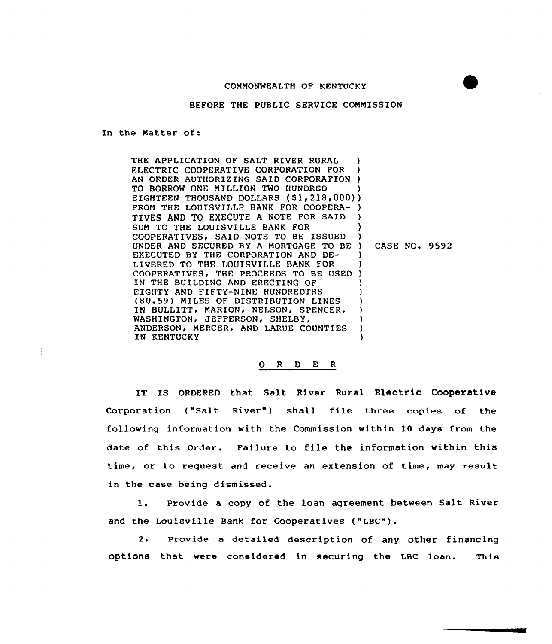## COMMONWEALTH OF KENTUCKY

BEFORE THE PUBLIC SERVICE COMMISSION

In the Natter of:

THE APPLICATION OF SALT RIVER RURAL ELECTRIC COOPERATIVE CORPORATION FOR AN ORDER AUTHORIZING SAID CORPO<mark>RATIO</mark> TO BORROW ONE MILLION TWO HUNDRED TO BORROW ONE MILLION TWO HUNDRED )<br>EIGHTEEN THOUSAND DOLLARS (\$1,218,000)) FROM THE LOUISVILLE BANK FOR COOPERA-) TIVES AND TO EXECUTE <sup>A</sup> NOTE FOR SAID SUM TO THE LOUISVILLE BANK FOR COOPERATIVES, SAID NOTE TO BE ISSUED UNDER AND SECURED BY A MORTGAGE TO BE EXECUTED BY THE CORPORATION AND DE-LIVERED TO THE LOUISVILLE BANK FOR COOPERATIVES, THE PROCEEDS TO BE USED ) IN THE BUILDING AND ERECTING OF EIGHTY AND FIFTY-NINE HUNDREDTHS (80.59) MILES OF DISTRIBUTION LINES IN BULLITT, MARION, NELSON, SPENCER, WASHINGTON, JEFFERSON, SHELBY, ANDERSON, MERCER, AND LARUE COUNTIES IN KENTUCKY ) ) ) ) ) ) ) ) CASE NO. 9592 ) ) ) ) ) ) ) ) )

## O R D E R

IT IS ORDERED that Salt River Rural Electric Cooperative Corporation ("Salt River") shall file three copies of the following information with the Commission within 10 days from the date of this Order. Failure to file the information within this time, or to request and receive an extension of time, may result in the case being dismissed.

1. Provide <sup>a</sup> copy of the loan agreement between Salt River and the Louisville Bank for Cooperatives ("LBC").

2. Provide a detailed description of any other financing options that were considered in securing the LRC loan. This